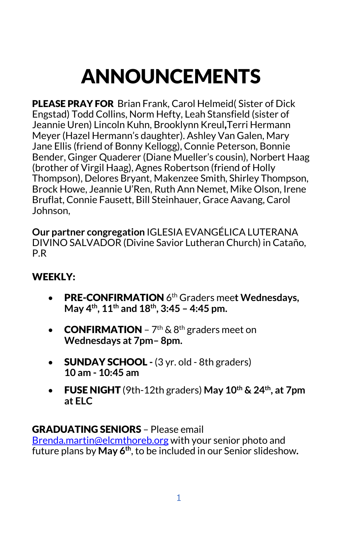# ANNOUNCEMENTS

PLEASE PRAY FOR Brian Frank, Carol Helmeid( Sister of Dick Engstad) Todd Collins, Norm Hefty, Leah Stansfield (sister of Jeannie Uren) Lincoln Kuhn, Brooklynn Kreul,Terri Hermann Meyer (Hazel Hermann's daughter). Ashley Van Galen, Mary Jane Ellis (friend of Bonny Kellogg), Connie Peterson, Bonnie Bender, Ginger Quaderer (Diane Mueller's cousin), Norbert Haag (brother of Virgil Haag), Agnes Robertson (friend of Holly Thompson), Delores Bryant, Makenzee Smith, Shirley Thompson, Brock Howe, Jeannie U'Ren, Ruth Ann Nemet, Mike Olson, Irene Bruflat, Connie Fausett, Bill Steinhauer, Grace Aavang, Carol Johnson,

**Our partner congregation** IGLESIA EVANGÉLICA LUTERANA DIVINO SALVADOR (Divine Savior Lutheran Church) in Cataño, P.R

#### WEEKLY:

- PRE-CONFIRMATION 6th Graders mee**t Wednesdays, May 4th, 11th and 18th, 3:45 – 4:45 pm.**
- **CONFIRMATION**  $7<sup>th</sup>$  & 8<sup>th</sup> graders meet on **Wednesdays at 7pm– 8pm.**
- SUNDAY SCHOOL **-** (3 yr. old 8th graders) **10 am - 10:45 am**
- FUSE NIGHT (9th-12th graders) **May 10th & 24th, at 7pm at ELC**

#### GRADUATING SENIORS – Please email

[Brenda.martin@elcmthoreb.org](about:blank) with your senior photo and future plans by **May 6th**, to be included in our Senior slideshow**.**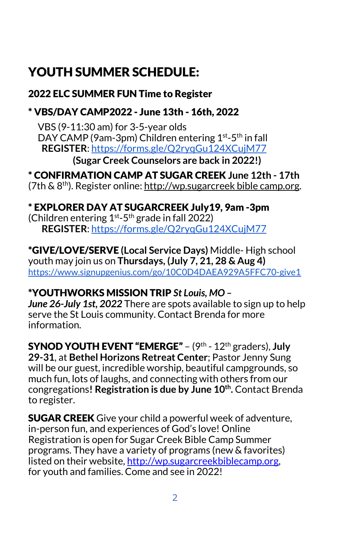# YOUTH SUMMER SCHEDULE:

#### 2022 ELC SUMMER FUN Time to Register

# \* VBS/DAY CAMP2022 - June 13th - 16th, 2022

 VBS (9-11:30 am) for 3-5-year olds DAY CAMP (9am-3pm) Children entering 1<sup>st</sup>-5<sup>th</sup> in fall  **REGISTER**[: https://forms.gle/Q2ryqGu124XCujM77](about:blank) **(Sugar Creek Counselors are back in 2022!)**

\* CONFIRMATION CAMP AT SUGAR CREEK **June 12th - 17th** (7th  $\& 8^{th}$ ). Register online[:](about:blank) [http://wp.sugarcreek bible camp.org.](about:blank)

#### \* EXPLORER DAY AT SUGARCREEK July19, 9am -3pm

(Children entering  $1^{st}$ -5<sup>th</sup> grade in fall 2022)  **REGISTER**[: https://forms.gle/Q2ryqGu124XCujM77](about:blank)

\*GIVE/LOVE/SERVE **(Local Service Days)** Middle- High school youth may join us on **Thursdays, (July 7, 21, 28 & Aug 4)** [https://www.signupgenius.com/go/10C0D4DAEA929A5FFC70-give1](about:blank)

# \*YOUTHWORKS MISSION TRIP *St Louis, MO –*

*June 26-July 1st, 2022* There are spots available to sign up to help serve the St Louis community. Contact Brenda for more information.

SYNOD YOUTH EVENT "EMERGE" – (9th - 12th graders), **July 29-31**, at **Bethel Horizons Retreat Center**; Pastor Jenny Sung will be our guest, incredible worship, beautiful campgrounds, so much fun, lots of laughs, and connecting with others from our congregations**! Registration is due by June 10th.** Contact Brenda to register.

**SUGAR CREEK** Give your child a powerful week of adventure, in-person fun, and experiences of God's love! Online Registration is open for Sugar Creek Bible Camp Summer programs. They have a variety of programs (new & favorites) listed on their website, [http://wp.sugarcreekbiblecamp.org,](about:blank) for youth and families. Come and see in 2022!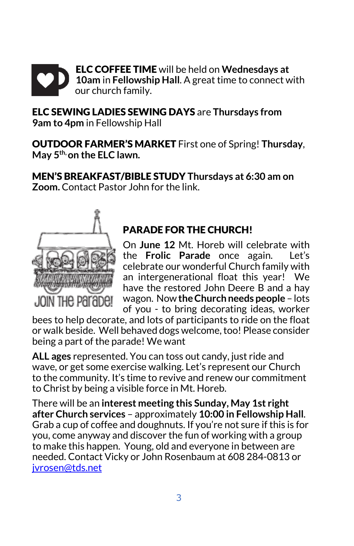

ELC SEWING LADIES SEWING DAYS are **Thursdays from 9am to 4pm** in Fellowship Hall

OUTDOOR FARMER'S MARKET First one of Spring! **Thursday**, **May 5th, on the ELC lawn.**

MEN'S BREAKFAST/BIBLE STUDY **Thursdays at 6:30 am on Zoom.** Contact Pastor John for the link.



# PARADE FOR THE CHURCH!

On **June 12** Mt. Horeb will celebrate with the **Frolic Parade** once again. Let's celebrate our wonderful Church family with an intergenerational float this year! We have the restored John Deere B and a hay wagon. Now **the Church needs people** – lots of you - to bring decorating ideas, worker

bees to help decorate, and lots of participants to ride on the float or walk beside. Well behaved dogs welcome, too! Please consider being a part of the parade! We want

**ALL ages** represented. You can toss out candy, just ride and wave, or get some exercise walking. Let's represent our Church to the community. It's time to revive and renew our commitment to Christ by being a visible force in Mt. Horeb.

There will be an **interest meeting this Sunday, May 1st right after Church services** – approximately **10:00 in Fellowship Hall**. Grab a cup of coffee and doughnuts. If you're not sure if this is for you, come anyway and discover the fun of working with a group to make this happen. Young, old and everyone in between are needed. Contact Vicky or John Rosenbaum at 608 284-0813 or [jvrosen@tds.net](about:blank)